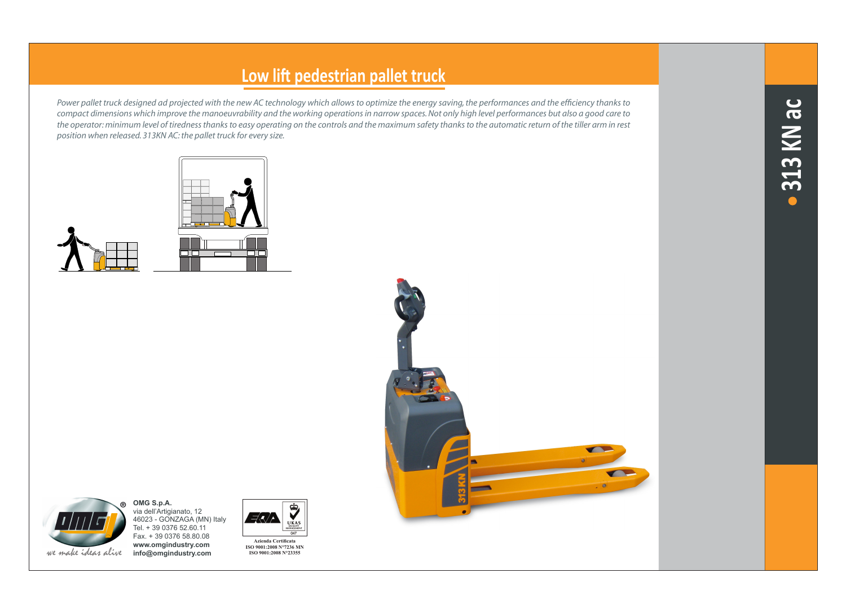## **Low lift pedestrian pallet truck**

*Power pallet truck designed ad projected with the new AC technology which allows to optimize the energy saving, the performances and the efficiency thanks to compact dimensions which improve the manoeuvrability and the working operations in narrow spaces. Not only high level performances but also a good care to the operator: minimum level of tiredness thanks to easy operating on the controls and the maximum safety thanks to the automatic return of the tiller arm in rest position when released. 313KN AC: the pallet truck for every size.*









**OMG S.p.A.**

**www.omgindustry.com** we make ideas alive **info@omgindustry.com**



**Azienda Certificata ISO 9001:2008 N°7236 MN ISO 9001:2008 N°23355**

 $U_{\text{MAX}}$